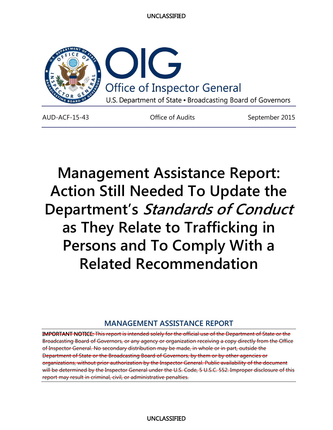

AUD-ACF-15-43 **Office of Audits** September 2015

**Management Assistance Report: Action Still Needed To Update the Department's Standards of Conduct as They Relate to Trafficking in Persons and To Comply With a Related Recommendation**

# **MANAGEMENT ASSISTANCE REPORT**

IMPORTANT NOTICE: This report is intended solely for the official use of the Department of State or the Broadcasting Board of Governors, or any agency or organization receiving a copy directly from the Office of Inspector General. No secondary distribution may be made, in whole or in part, outside the Department of State or the Broadcasting Board of Governors, by them or by other agencies or organizations, without prior authorization by the Inspector General. Public availability of the document will be determined by the Inspector General under the U.S. Code, 5 U.S.C. 552. Improper disclosure of this report may result in criminal, civil, or administrative penalties.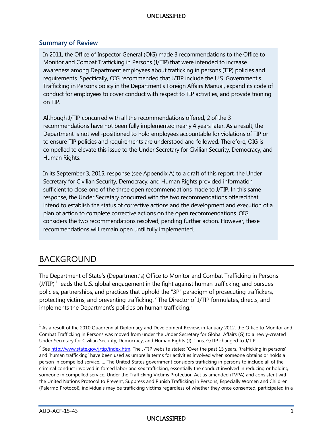### **Summary of Review**

 In 2011, the Office of Inspector General (OIG) made 3 recommendations to the Office to requirements. Specifically, OIG recommended that J/TIP include the U.S. Government's Monitor and Combat Trafficking in Persons (J/TIP) that were intended to increase awareness among Department employees about trafficking in persons (TIP) policies and Trafficking in Persons policy in the Department's Foreign Affairs Manual, expand its code of conduct for employees to cover conduct with respect to TIP activities, and provide training on TIP.

 Although J/TIP concurred with all the recommendations offered, 2 of the 3 recommendations have not been fully implemented nearly 4 years later. As a result, the compelled to elevate this issue to the Under Secretary for Civilian Security, Democracy, and Department is not well-positioned to hold employees accountable for violations of TIP or to ensure TIP policies and requirements are understood and followed. Therefore, OIG is Human Rights.

 In its September 3, 2015, response (see Appendix A) to a draft of this report, the Under sufficient to close one of the three open recommendations made to J/TIP. In this same plan of action to complete corrective actions on the open recommendations. OIG considers the two recommendations resolved, pending further action. However, these recommendations will remain open until fully implemented. Secretary for Civilian Security, Democracy, and Human Rights provided information response, the Under Secretary concurred with the two recommendations offered that intend to establish the status of corrective actions and the development and execution of a

# BACKGROUND

 The Department of State's (Department's) Office to Monitor and Combat Trafficking in Persons (J/TIP)<sup>1</sup> leads the U.S. global engagement in the fight against human trafficking; and pursues policies, partnerships, and practices that uphold the "3P" paradigm of prosecuting traffickers, protecting victims, and preventing trafficking.<sup>2</sup> The Director of J/TIP formulates, directs, and implements the Department's policies on human trafficking.<sup>[3](#page-1-2)</sup>

 $\overline{a}$ 

<span id="page-1-0"></span> Combat Trafficking in Persons was moved from under the Under Secretary for Global Affairs (G) to a newly-created Under Secretary for Civilian Security, Democracy, and Human Rights (J). Thus, G/TIP changed to J/TIP.  $1$  As a result of the 2010 Quadrennial Diplomacy and Development Review, in January 2012, the Office to Monitor and

<span id="page-1-2"></span><span id="page-1-1"></span><sup>&</sup>lt;sup>2</sup> See [http://www.state.gov/j/tip/index.htm.](http://www.state.gov/j/tip/index.htm) The J/TIP website states: "Over the past 15 years, 'trafficking in persons' and 'human trafficking' have been used as umbrella terms for activities involved when someone obtains or holds a person in compelled service. … The United States government considers trafficking in persons to include all of the criminal conduct involved in forced labor and sex trafficking, essentially the conduct involved in reducing or holding someone in compelled service. Under the Trafficking Victims Protection Act as amended (TVPA) and consistent with the United Nations Protocol to Prevent, Suppress and Punish Trafficking in Persons, Especially Women and Children (Palermo Protocol), individuals may be trafficking victims regardless of whether they once consented, participated in a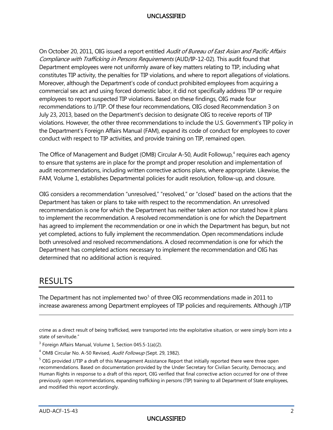commercial sex act and using forced domestic labor, it did not specifically address TIP or require employees to report suspected TIP violations. Based on these findings, OIG made four recommendations to J/TIP. Of these four recommendations, OIG closed Recommendation 3 on July 23, 2013, based on the Department's decision to designate OIG to receive reports of TIP violations. However, the other three recommendations to include the U.S. Government's TIP policy in the Department's Foreign Affairs Manual (FAM), expand its code of conduct for employees to cover conduct with respect to TIP activities, and provide training on TIP, remained open. On October 20, 2011, OIG issued a report entitled Audit of Bureau of East Asian and Pacific Affairs Compliance with Trafficking in Persons Requirements (AUD/IP-12-02). This audit found that Department employees were not uniformly aware of key matters relating to TIP, including what constitutes TIP activity, the penalties for TIP violations, and where to report allegations of violations. Moreover, although the Department's code of conduct prohibited employees from acquiring a

The Office of Management and Budget (OMB) Circular A-50, Audit Followup,<sup>4</sup> requires each agency to ensure that systems are in place for the prompt and proper resolution and implementation of audit recommendations, including written corrective actions plans, where appropriate. Likewise, the FAM, Volume 1, establishes Departmental policies for audit resolution, follow-up, and closure.

 OIG considers a recommendation "unresolved," "resolved," or "closed" based on the actions that the recommendation is one for which the Department has neither taken action nor stated how it plans to implement the recommendation. A resolved recommendation is one for which the Department yet completed, actions to fully implement the recommendation. Open recommendations include Department has taken or plans to take with respect to the recommendation. An unresolved has agreed to implement the recommendation or one in which the Department has begun, but not both unresolved and resolved recommendations. A closed recommendation is one for which the Department has completed actions necessary to implement the recommendation and OIG has determined that no additional action is required.

# RESULTS

 $\overline{a}$ 

The Department has not implemented two<sup>5</sup> of three OIG recommendations made in 2011 to increase awareness among Department employees of TIP policies and requirements. Although J/TIP

crime as a direct result of being trafficked, were transported into the exploitative situation, or were simply born into a state of servitude."

 $3$  Foreign Affairs Manual, Volume 1, Section 045.5-1(a)(2).

<span id="page-2-0"></span><sup>&</sup>lt;sup>4</sup> OMB Circular No. A-50 Revised, *Audit Followup* (Sept. 29, 1982).

<span id="page-2-1"></span> previously open recommendations, expanding trafficking in persons (TIP) training to all Department of State employees, <sup>5</sup> OIG provided J/TIP a draft of this Management Assistance Report that initially reported there were three open recommendations. Based on documentation provided by the Under Secretary for Civilian Security, Democracy, and Human Rights in response to a draft of this report, OIG verified that final corrective action occurred for one of three and modified this report accordingly.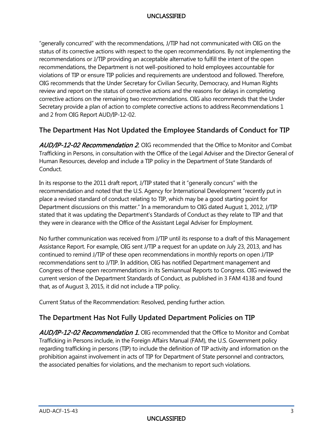"generally concurred" with the recommendations, J/TIP had not communicated with OIG on the recommendations or J/TIP providing an acceptable alternative to fulfill the intent of the open review and report on the status of corrective actions and the reasons for delays in completing status of its corrective actions with respect to the open recommendations. By not implementing the recommendations, the Department is not well-positioned to hold employees accountable for violations of TIP or ensure TIP policies and requirements are understood and followed. Therefore, OIG recommends that the Under Secretary for Civilian Security, Democracy, and Human Rights corrective actions on the remaining two recommendations. OIG also recommends that the Under Secretary provide a plan of action to complete corrective actions to address Recommendations 1 and 2 from OIG Report AUD/IP-12-02.

# **The Department Has Not Updated the Employee Standards of Conduct for TIP**

 Trafficking in Persons, in consultation with the Office of the Legal Adviser and the Director General of Human Resources, develop and include a TIP policy in the Department of State Standards of AUD/IP-12-02 Recommendation 2. OIG recommended that the Office to Monitor and Combat Conduct.

 In its response to the 2011 draft report, J/TIP stated that it "generally concurs" with the recommendation and noted that the U.S. Agency for International Development "recently put in place a revised standard of conduct relating to TIP, which may be a good starting point for they were in clearance with the Office of the Assistant Legal Adviser for Employment. Department discussions on this matter." In a memorandum to OIG dated August 1, 2012, J/TIP stated that it was updating the Department's Standards of Conduct as they relate to TIP and that

 No further communication was received from J/TIP until its response to a draft of this Management recommendations sent to J/TIP. In addition, OIG has notified Department management and Congress of these open recommendations in its Semiannual Reports to Congress. OIG reviewed the current version of the Department Standards of Conduct, as published in 3 FAM 4138 and found that, as of August 3, 2015, it did not include a TIP policy. Assistance Report. For example, OIG sent J/TIP a request for an update on July 23, 2013, and has continued to remind J/TIP of these open recommendations in monthly reports on open J/TIP

Current Status of the Recommendation: Resolved, pending further action.

# **The Department Has Not Fully Updated Department Policies on TIP**

AUD/IP-12-02 Recommendation 1. OIG recommended that the Office to Monitor and Combat Trafficking in Persons include, in the Foreign Affairs Manual (FAM), the U.S. Government policy regarding trafficking in persons (TIP) to include the definition of TIP activity and information on the prohibition against involvement in acts of TIP for Department of State personnel and contractors, the associated penalties for violations, and the mechanism to report such violations.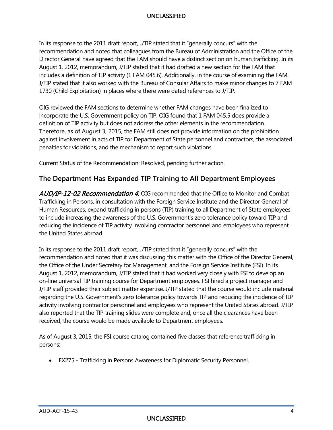In its response to the 2011 draft report, J/TIP stated that it "generally concurs" with the Director General have agreed that the FAM should have a distinct section on human trafficking. In its recommendation and noted that colleagues from the Bureau of Administration and the Office of the August 1, 2012, memorandum, J/TIP stated that it had drafted a new section for the FAM that includes a definition of TIP activity (1 FAM 045.6). Additionally, in the course of examining the FAM, J/TIP stated that it also worked with the Bureau of Consular Affairs to make minor changes to 7 FAM 1730 (Child Exploitation) in places where there were dated references to J/TIP.

 incorporate the U.S. Government policy on TIP. OIG found that 1 FAM 045.5 does provide a definition of TIP activity but does not address the other elements in the recommendation. Therefore, as of August 3, 2015, the FAM still does not provide information on the prohibition penalties for violations, and the mechanism to report such violations. OIG reviewed the FAM sections to determine whether FAM changes have been finalized to against involvement in acts of TIP for Department of State personnel and contractors, the associated

penalties for violations, and the mechanism to report such violations.<br>Current Status of the Recommendation: Resolved, pending further action.

# **The Department Has Expanded TIP Training to All Department Employees**

AUD/IP-12-02 Recommendation 4. OIG recommended that the Office to Monitor and Combat Trafficking in Persons, in consultation with the Foreign Service Institute and the Director General of Human Resources, expand trafficking in persons (TIP) training to all Department of State employees to include increasing the awareness of the U.S. Government's zero tolerance policy toward TIP and reducing the incidence of TIP activity involving contractor personnel and employees who represent the United States abroad.

 In its response to the 2011 draft report, J/TIP stated that it "generally concurs" with the the Office of the Under Secretary for Management, and the Foreign Service Institute (FSI). In its on-line universal TIP training course for Department employees. FSI hired a project manager and J/TIP staff provided their subject matter expertise. J/TIP stated that the course would include material regarding the U.S. Government's zero tolerance policy towards TIP and reducing the incidence of TIP recommendation and noted that it was discussing this matter with the Office of the Director General, August 1, 2012, memorandum, J/TIP stated that it had worked very closely with FSI to develop an activity involving contractor personnel and employees who represent the United States abroad. J/TIP also reported that the TIP training slides were complete and, once all the clearances have been received, the course would be made available to Department employees.

 As of August 3, 2015, the FSI course catalog contained five classes that reference trafficking in persons:

• EX275 - Trafficking in Persons Awareness for Diplomatic Security Personnel,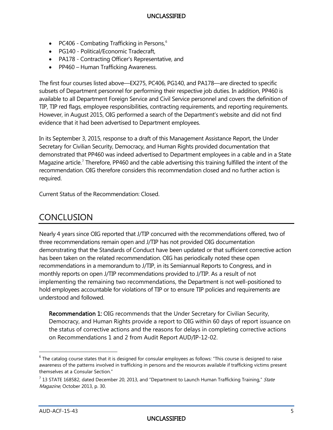- PC40[6](#page-5-0) Combating Trafficking in Persons,<sup>6</sup>
- PG140 Political/Economic Tradecraft,
- PA178 Contracting Officer's Representative, and
- PP460 Human Trafficking Awareness.

 The first four courses listed above—EX275, PC406, PG140, and PA178—are directed to specific subsets of Department personnel for performing their respective job duties. In addition, PP460 is available to all Department Foreign Service and Civil Service personnel and covers the definition of However, in August 2015, OIG performed a search of the Department's website and did not find evidence that it had been advertised to Department employees. TIP, TIP red flags, employee responsibilities, contracting requirements, and reporting requirements.

evidence that it had been advertised to Department employees.<br>In its September 3, 2015, response to a draft of this Management Assistance Report, the Under demonstrated that PP460 was indeed advertised to Department employees in a cable and in a State Magazine article.<sup>[7](#page-5-1)</sup> Therefore, PP460 and the cable advertising this training fulfilled the intent of the recommendation. OIG therefore considers this recommendation closed and no further action is Secretary for Civilian Security, Democracy, and Human Rights provided documentation that required.

Current Status of the Recommendation: Closed.

# **CONCLUSION**

 Nearly 4 years since OIG reported that J/TIP concurred with the recommendations offered, two of demonstrating that the Standards of Conduct have been updated or that sufficient corrective action has been taken on the related recommendation. OIG has periodically noted these open monthly reports on open J/TIP recommendations provided to J/TIP. As a result of not three recommendations remain open and J/TIP has not provided OIG documentation recommendations in a memorandum to J/TIP, in its Semiannual Reports to Congress, and in implementing the remaining two recommendations, the Department is not well-positioned to hold employees accountable for violations of TIP or to ensure TIP policies and requirements are understood and followed.

<span id="page-5-2"></span>Recommendation 1: OIG recommends that the Under Secretary for Civilian Security, Democracy, and Human Rights provide a report to OIG within 60 days of report issuance on the status of corrective actions and the reasons for delays in completing corrective actions on Recommendations 1 and 2 from Audit Report AUD/IP-12-02.

 $\overline{a}$ 

<span id="page-5-0"></span> $6$  The catalog course states that it is designed for consular employees as follows: "This course is designed to raise awareness of the patterns involved in trafficking in persons and the resources available if trafficking victims present themselves at a Consular Section."

<span id="page-5-1"></span> $<sup>7</sup>$  13 STATE 168582, dated December 20, 2013, and "Department to Launch Human Trafficking Training," State</sup> Magazine, October 2013, p. 30.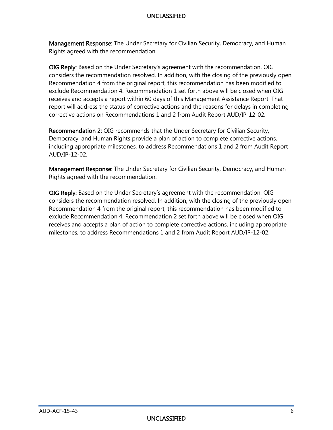Management Response: The Under Secretary for Civilian Security, Democracy, and Human Rights agreed with the recommendation.

 corrective actions on Recommendations 1 and 2 from Audit Report AUD/IP-12-02. OIG Reply: Based on the Under Secretary's agreement with the recommendation, OIG considers the recommendation resolved. In addition, with the closing of the previously open Recommendation 4 from the original report, this recommendation has been modified to exclude Recommendation 4. Recommendation 1 set forth above will be closed when OIG receives and accepts a report within 60 days of this Management Assistance Report. That report will address the status of corrective actions and the reasons for delays in completing

<span id="page-6-0"></span>Recommendation 2: OIG recommends that the Under Secretary for Civilian Security, Democracy, and Human Rights provide a plan of action to complete corrective actions, including appropriate milestones, to address Recommendations 1 and 2 from Audit Report AUD/IP-12-02.

Management Response: The Under Secretary for Civilian Security, Democracy, and Human Rights agreed with the recommendation.

 milestones, to address Recommendations 1 and 2 from Audit Report AUD/IP-12-02. OIG Reply: Based on the Under Secretary's agreement with the recommendation, OIG considers the recommendation resolved. In addition, with the closing of the previously open Recommendation 4 from the original report, this recommendation has been modified to exclude Recommendation 4. Recommendation 2 set forth above will be closed when OIG receives and accepts a plan of action to complete corrective actions, including appropriate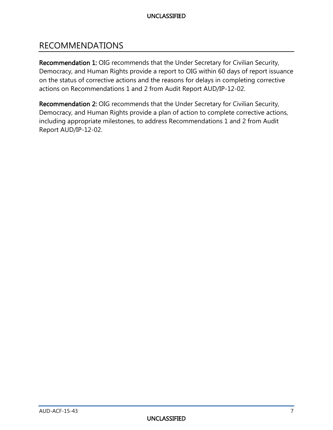# RECOMMENDATIONS

[Recommendation 1: OIG recommends that the Under Secretary for Civilian Security,](#page-5-2)  [Democracy, and Human Rights provide a report to OIG within 60 days of report issuance](#page-5-2)  [on the status of corrective actions and the reasons for delays in completing corrective](#page-5-2)  [actions on Recommendations 1 and 2 from Audit Report AUD/IP-12-02.](#page-5-2) 

[Recommendation 2: OIG recommends that the Under Secretary for Civilian Security,](#page-6-0)  [Democracy, and Human Rights provide a plan of action to complete corrective actions,](#page-6-0)  [including appropriate milestones, to address Recommendations 1 and 2 from Audit](#page-6-0)  [Report AUD/IP-12-02.](#page-6-0)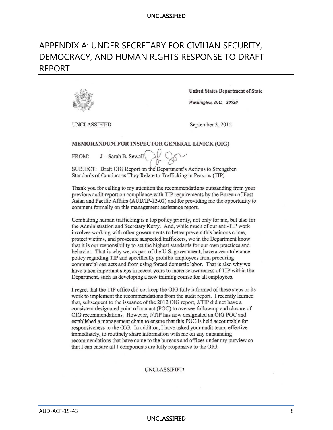# APPENDIX A: UNDER SECRETARY FOR CIVILIAN SECURITY, DEMOCRACY, AND HUMAN RIGHTS RESPONSE TO DRAFT REPORT



**United States Department of State** 

Washington, D.C. 20520

UNCLASSIFIED

September 3, 2015

#### MEMORANDUM FOR INSPECTOR GENERAL LINICK (OIG)

J - Sarah B. Sewall FROM:

SUBJECT: Draft OIG Report on the Department's Actions to Strengthen Standards of Conduct as They Relate to Trafficking in Persons (TIP)

Thank you for calling to my attention the recommendations outstanding from your previous audit report on compliance with TIP requirements by the Bureau of East Asian and Pacific Affairs (AUD/IP-12-02) and for providing me the opportunity to comment formally on this management assistance report.

Combatting human trafficking is a top policy priority, not only for me, but also for the Administration and Secretary Kerry. And, while much of our anti-TIP work involves working with other governments to better prevent this heinous crime, protect victims, and prosecute suspected traffickers, we in the Department know that it is our responsibility to set the highest standards for our own practices and behavior. That is why we, as part of the U.S. government, have a zero tolerance policy regarding TIP and specifically prohibit employees from procuring commercial sex acts and from using forced domestic labor. That is also why we have taken important steps in recent years to increase awareness of TIP within the Department, such as developing a new training course for all employees.

I regret that the TIP office did not keep the OIG fully informed of these steps or its work to implement the recommendations from the audit report. I recently learned that, subsequent to the issuance of the 2012 OIG report, J/TIP did not have a consistent designated point of contact (POC) to oversee follow-up and closure of OIG recommendations. However, J/TIP has now designated an OIG POC and established a management chain to ensure that this POC is held accountable for responsiveness to the OIG. In addition, I have asked your audit team, effective immediately, to routinely share information with me on any outstanding recommendations that have come to the bureaus and offices under my purview so that I can ensure all J components are fully responsive to the OIG.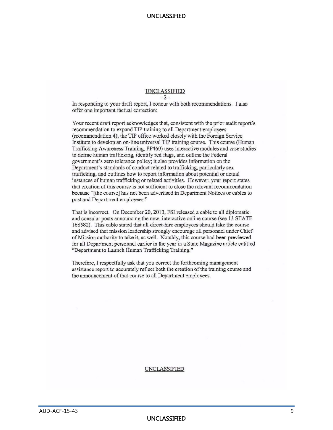# UNCLASSIFIED

 $-2-$ 

In responding to your draft report, I concur with both recommendations. I also offer one important factual correction:

Your recent draft report acknowledges that, consistent with the prior audit report's recommendation to expand TIP training to all Department employees (recommendation 4), the TIP office worked closely with the Foreign Service Institute to develop an on-line universal TIP training course. This course (Human Trafficking Awareness Training, PP460) uses interactive modules and case studies to define human trafficking, identify red flags, and outline the Federal government's zero tolerance policy; it also provides information on the Department's standards of conduct related to trafficking, particularly sex trafficking, and outlines how to report information about potential or actual instances of human trafficking or related activities. However, your report states that creation of this course is not sufficient to close the relevant recommendation because "[the course] has not been advertised in Department Notices or cables to post and Department employees."

That is incorrect. On December 20, 2013, FSI released a cable to all diplomatic and consular posts announcing the new, interactive online course (see 13 STATE 168582). This cable stated that all direct-hire employees should take the course and advised that mission leadership strongly encourage all personnel under Chief of Mission authority to take it, as well. Notably, this course had been previewed for all Department personnel earlier in the year in a State Magazine article entitled "Department to Launch Human Trafficking Training."

Therefore, I respectfully ask that you correct the forthcoming management assistance report to accurately reflect both the creation of the training course and the announcement of that course to all Department employees.